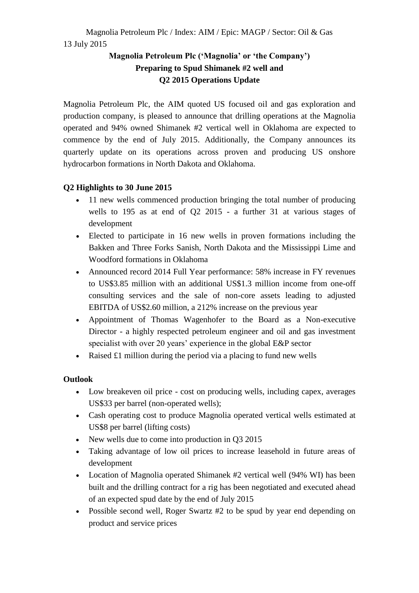# Magnolia Petroleum Plc / Index: AIM / Epic: MAGP / Sector: Oil & Gas 13 July 2015

# **Magnolia Petroleum Plc ('Magnolia' or 'the Company') Preparing to Spud Shimanek #2 well and Q2 2015 Operations Update**

Magnolia Petroleum Plc, the AIM quoted US focused oil and gas exploration and production company, is pleased to announce that drilling operations at the Magnolia operated and 94% owned Shimanek #2 vertical well in Oklahoma are expected to commence by the end of July 2015. Additionally, the Company announces its quarterly update on its operations across proven and producing US onshore hydrocarbon formations in North Dakota and Oklahoma.

# **Q2 Highlights to 30 June 2015**

- 11 new wells commenced production bringing the total number of producing wells to 195 as at end of Q2 2015 - a further 31 at various stages of development
- Elected to participate in 16 new wells in proven formations including the Bakken and Three Forks Sanish, North Dakota and the Mississippi Lime and Woodford formations in Oklahoma
- Announced record 2014 Full Year performance: 58% increase in FY revenues to US\$3.85 million with an additional US\$1.3 million income from one-off consulting services and the sale of non-core assets leading to adjusted EBITDA of US\$2.60 million, a 212% increase on the previous year
- Appointment of Thomas Wagenhofer to the Board as a Non-executive Director - a highly respected petroleum engineer and oil and gas investment specialist with over 20 years' experience in the global E&P sector
- Raised  $\pounds1$  million during the period via a placing to fund new wells

## **Outlook**

- Low breakeven oil price cost on producing wells, including capex, averages US\$33 per barrel (non-operated wells);
- Cash operating cost to produce Magnolia operated vertical wells estimated at US\$8 per barrel (lifting costs)
- New wells due to come into production in Q3 2015
- Taking advantage of low oil prices to increase leasehold in future areas of development
- Location of Magnolia operated Shimanek #2 vertical well (94% WI) has been built and the drilling contract for a rig has been negotiated and executed ahead of an expected spud date by the end of July 2015
- Possible second well, Roger Swartz #2 to be spud by year end depending on product and service prices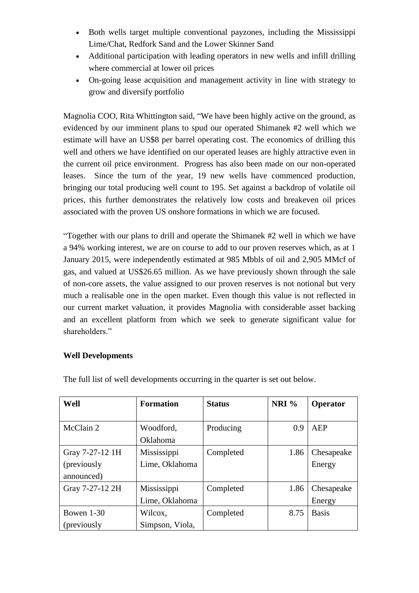- Both wells target multiple conventional payzones, including the Mississippi Lime/Chat, Redfork Sand and the Lower Skinner Sand
- Additional participation with leading operators in new wells and infill drilling where commercial at lower oil prices
- On-going lease acquisition and management activity in line with strategy to grow and diversify portfolio

Magnolia COO, Rita Whittington said, "We have been highly active on the ground, as evidenced by our imminent plans to spud our operated Shimanek #2 well which we estimate will have an US\$8 per barrel operating cost. The economics of drilling this well and others we have identified on our operated leases are highly attractive even in the current oil price environment. Progress has also been made on our non-operated leases. Since the turn of the year, 19 new wells have commenced production, bringing our total producing well count to 195. Set against a backdrop of volatile oil prices, this further demonstrates the relatively low costs and breakeven oil prices associated with the proven US onshore formations in which we are focused.

"Together with our plans to drill and operate the Shimanek #2 well in which we have a 94% working interest, we are on course to add to our proven reserves which, as at 1 January 2015, were independently estimated at 985 Mbbls of oil and 2,905 MMcf of gas, and valued at US\$26.65 million. As we have previously shown through the sale of non-core assets, the value assigned to our proven reserves is not notional but very much a realisable one in the open market. Even though this value is not reflected in our current market valuation, it provides Magnolia with considerable asset backing and an excellent platform from which we seek to generate significant value for shareholders."

#### **Well Developments**

| Well            | <b>Formation</b> | <b>Status</b> | NRI% | Operator     |
|-----------------|------------------|---------------|------|--------------|
|                 |                  |               |      |              |
| McClain 2       | Woodford,        | Producing     | 0.9  | AEP          |
|                 | Oklahoma         |               |      |              |
| Gray 7-27-12 1H | Mississippi      | Completed     | 1.86 | Chesapeake   |
| (previously     | Lime, Oklahoma   |               |      | Energy       |
| announced)      |                  |               |      |              |
| Gray 7-27-12 2H | Mississippi      | Completed     | 1.86 | Chesapeake   |
|                 | Lime, Oklahoma   |               |      | Energy       |
| Bowen $1-30$    | Wilcox,          | Completed     | 8.75 | <b>Basis</b> |
| (previously     | Simpson, Viola,  |               |      |              |

The full list of well developments occurring in the quarter is set out below.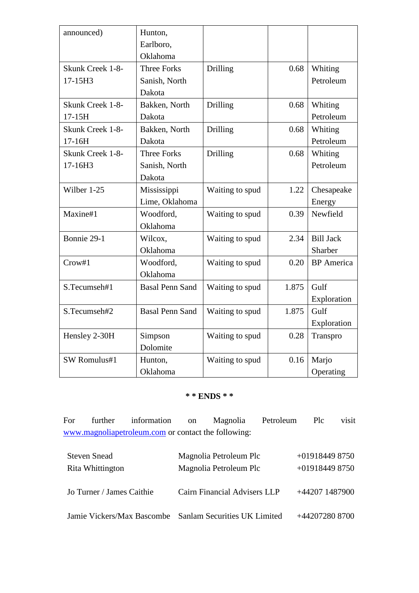| announced)              | Hunton,                |                 |       |                   |
|-------------------------|------------------------|-----------------|-------|-------------------|
|                         | Earlboro,              |                 |       |                   |
|                         | Oklahoma               |                 |       |                   |
| Skunk Creek 1-8-        | <b>Three Forks</b>     | Drilling        | 0.68  | Whiting           |
| 17-15H3                 | Sanish, North          |                 |       | Petroleum         |
|                         | Dakota                 |                 |       |                   |
| Skunk Creek 1-8-        | Bakken, North          | Drilling        | 0.68  | Whiting           |
| $17-15H$                | Dakota                 |                 |       | Petroleum         |
| <b>Skunk Creek 1-8-</b> | Bakken, North          | Drilling        | 0.68  | Whiting           |
| $17-16H$                | Dakota                 |                 |       | Petroleum         |
| Skunk Creek 1-8-        | <b>Three Forks</b>     | Drilling        | 0.68  | Whiting           |
| 17-16H3                 | Sanish, North          |                 |       | Petroleum         |
|                         | Dakota                 |                 |       |                   |
| Wilber 1-25             | Mississippi            | Waiting to spud | 1.22  | Chesapeake        |
|                         | Lime, Oklahoma         |                 |       | Energy            |
| Maxine#1                | Woodford,              | Waiting to spud | 0.39  | Newfield          |
|                         | Oklahoma               |                 |       |                   |
| Bonnie 29-1             | Wilcox,                | Waiting to spud | 2.34  | <b>Bill Jack</b>  |
|                         | Oklahoma               |                 |       | Sharber           |
| Crow#1                  | Woodford,              | Waiting to spud | 0.20  | <b>BP</b> America |
|                         | Oklahoma               |                 |       |                   |
| S.Tecumseh#1            | <b>Basal Penn Sand</b> | Waiting to spud | 1.875 | Gulf              |
|                         |                        |                 |       | Exploration       |
| S.Tecumseh#2            | <b>Basal Penn Sand</b> | Waiting to spud | 1.875 | Gulf              |
|                         |                        |                 |       | Exploration       |
| Hensley 2-30H           | Simpson                | Waiting to spud | 0.28  | Transpro          |
|                         | Dolomite               |                 |       |                   |
| SW Romulus#1            | Hunton,                | Waiting to spud | 0.16  | Marjo             |
|                         | Oklahoma               |                 |       | Operating         |

### **\* \* ENDS \* \***

For further information on Magnolia Petroleum Plc visit [www.magnoliapetroleum.com](http://www.magnoliapetroleum.com/) or contact the following:

| <b>Steven Snead</b>                                     | Magnolia Petroleum Plc       | $+019184498750$  |
|---------------------------------------------------------|------------------------------|------------------|
| Rita Whittington                                        | Magnolia Petroleum Plc       | $+019184498750$  |
|                                                         |                              |                  |
| Jo Turner / James Caithie                               | Cairn Financial Advisers LLP | $+44207$ 1487900 |
|                                                         |                              |                  |
|                                                         |                              |                  |
| Jamie Vickers/Max Bascombe Sanlam Securities UK Limited |                              | +44207280 8700   |